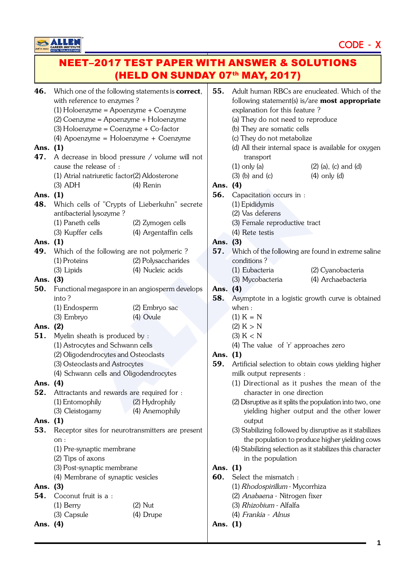CAREER INSTITUTE

# CODE - X

## NEET–2017 TEST PAPER WITH ANSWER & SOLUTIONS (HELD ON SUNDAY 07<sup>th</sup> MAY, 2017)

| 46.      | Which one of the following statements is <b>correct</b> ,<br>with reference to enzymes? |                                                |          | Adult human RBCs are enucleat<br>following statement(s) is/are $mc$ |            |  |
|----------|-----------------------------------------------------------------------------------------|------------------------------------------------|----------|---------------------------------------------------------------------|------------|--|
|          | (1) Holoenzyme = Apoenzyme + Coenzyme                                                   |                                                |          | explanation for this feature?                                       |            |  |
|          | (2) Coenzyme = Apoenzyme + Holoenzyme                                                   |                                                |          | (a) They do not need to reprodu                                     |            |  |
|          | $(3)$ Holoenzyme = Coenzyme + Co-factor                                                 |                                                |          | (b) They are somatic cells                                          |            |  |
|          | (4) Apoenzyme = $Holoenzyme + Coenzyme$                                                 |                                                |          | (c) They do not metabolize                                          |            |  |
| Ans. (1) |                                                                                         |                                                |          | (d) All their internal space is ava                                 |            |  |
| 47.      |                                                                                         |                                                |          | transport                                                           |            |  |
|          | A decrease in blood pressure / volume will not<br>cause the release of :                |                                                |          | $(1)$ only $(a)$                                                    | $(2)$ (a). |  |
|          | (1) Atrial natriuretic factor(2) Aldosterone                                            |                                                |          | $(3)$ $(b)$ and $(c)$                                               | $(4)$ on   |  |
|          | $(3)$ ADH                                                                               | (4) Renin                                      | Ans. (4) |                                                                     |            |  |
| Ans. (1) |                                                                                         |                                                | 56.      | Capacitation occurs in :                                            |            |  |
| 48.      |                                                                                         | Which cells of "Crypts of Lieberkuhn" secrete  |          | (1) Epididymis                                                      |            |  |
|          | antibacterial lysozyme?                                                                 |                                                |          | (2) Vas deferens                                                    |            |  |
|          | (1) Paneth cells                                                                        | (2) Zymogen cells                              |          | (3) Female reproductive tract                                       |            |  |
|          |                                                                                         |                                                |          | (4) Rete testis                                                     |            |  |
|          | (3) Kupffer cells                                                                       | (4) Argentaffin cells                          |          |                                                                     |            |  |
| Ans.     | (1)                                                                                     |                                                | Ans. (3) |                                                                     |            |  |
| 49.      | Which of the following are not polymeric?                                               |                                                | 57.      | Which of the following are found                                    |            |  |
|          | (1) Proteins                                                                            | (2) Polysaccharides                            |          | conditions?                                                         |            |  |
|          | (3) Lipids                                                                              | (4) Nucleic acids                              |          | (1) Eubacteria                                                      | $(2)$ Cy   |  |
| Ans. (3) |                                                                                         |                                                |          | (3) Mycobacteria                                                    | $(4)$ Ar   |  |
| 50.      |                                                                                         | Functional megaspore in an angiosperm develops |          | Ans. (4)                                                            |            |  |
|          | into?                                                                                   |                                                | 58.      | Asymptote in a logistic growth                                      |            |  |
|          | (1) Endosperm                                                                           | (2) Embryo sac                                 |          | when :                                                              |            |  |
|          | (3) Embryo                                                                              | (4) Ovule                                      |          | $(1) K = N$                                                         |            |  |
| Ans. (2) |                                                                                         |                                                |          | (2) K > N                                                           |            |  |
| 51.      | Myelin sheath is produced by :                                                          |                                                |          | (3) K < N                                                           |            |  |
|          | (1) Astrocytes and Schwann cells                                                        |                                                |          | (4) The value of 'r' approaches                                     |            |  |
|          | (2) Oligodendrocytes and Osteoclasts                                                    |                                                | Ans.     | (1)                                                                 |            |  |
|          | (3) Osteoclasts and Astrocytes                                                          |                                                | 59.      | Artificial selection to obtain cow                                  |            |  |
|          | (4) Schwann cells and Oligodendrocytes                                                  |                                                |          | milk output represents :                                            |            |  |
| Ans.     | (4)                                                                                     |                                                |          | (1) Directional as it pushes t                                      |            |  |
| 52.      | Attractants and rewards are required for :                                              |                                                |          | character in one direction                                          |            |  |
|          | (1) Entomophily                                                                         | (2) Hydrophily                                 |          | (2) Disruptive as it splits the popula                              |            |  |
|          | (3) Cleistogamy                                                                         | (4) Anemophily                                 |          | yielding higher output and                                          |            |  |
| Ans.     | (1)                                                                                     |                                                |          | output                                                              |            |  |
| 53.      | Receptor sites for neurotransmitters are present                                        |                                                |          | (3) Stabilizing followed by disrup                                  |            |  |
|          | on:                                                                                     |                                                |          | the population to produce hig                                       |            |  |
|          | (1) Pre-synaptic membrane                                                               |                                                |          | (4) Stabilizing selection as it stabil                              |            |  |
|          | (2) Tips of axons                                                                       |                                                |          | in the population                                                   |            |  |
|          | (3) Post-synaptic membrane                                                              |                                                | Ans. (1) |                                                                     |            |  |
|          | (4) Membrane of synaptic vesicles                                                       |                                                | 60.      | Select the mismatch :                                               |            |  |
| Ans. (3) |                                                                                         |                                                |          | (1) Rhodospirillum - Mycorrhiza                                     |            |  |
| 54.      | Coconut fruit is a :                                                                    |                                                |          | (2) Anabaena - Nitrogen fixer                                       |            |  |
|          | $(1)$ Berry                                                                             | $(2)$ Nut                                      |          | (3) Rhizobium - Alfalfa                                             |            |  |
|          | (3) Capsule                                                                             | (4) Drupe                                      |          | (4) Frankia - Alnus                                                 |            |  |
| Ans. (4) |                                                                                         |                                                | Ans. (1) |                                                                     |            |  |
|          |                                                                                         |                                                |          |                                                                     |            |  |

| 55.      | Adult human RBCs are enucleated. Which of the<br>following statement(s) is/are <b>most appropriate</b><br>explanation for this feature? |                                                |  |  |
|----------|-----------------------------------------------------------------------------------------------------------------------------------------|------------------------------------------------|--|--|
|          | (a) They do not need to reproduce                                                                                                       |                                                |  |  |
|          | (b) They are somatic cells                                                                                                              |                                                |  |  |
|          | (c) They do not metabolize                                                                                                              |                                                |  |  |
|          | (d) All their internal space is available for oxygen<br>transport                                                                       |                                                |  |  |
|          | $(1)$ only $(a)$                                                                                                                        | $(2)$ (a), (c) and (d)                         |  |  |
|          | $(3)$ (b) and (c)                                                                                                                       | $(4)$ only $(d)$                               |  |  |
| Ans. (4) |                                                                                                                                         |                                                |  |  |
| 56.      | Capacitation occurs in :                                                                                                                |                                                |  |  |
|          | (1) Epididymis                                                                                                                          |                                                |  |  |
|          | (2) Vas deferens                                                                                                                        |                                                |  |  |
|          | (3) Female reproductive tract                                                                                                           |                                                |  |  |
|          | (4) Rete testis                                                                                                                         |                                                |  |  |
| Ans. (3) |                                                                                                                                         |                                                |  |  |
| 57.      | Which of the following are found in extreme saline                                                                                      |                                                |  |  |
|          | conditions?                                                                                                                             |                                                |  |  |
|          | (1) Eubacteria                                                                                                                          | (2) Cyanobacteria                              |  |  |
|          | (3) Mycobacteria                                                                                                                        | (4) Archaebacteria                             |  |  |
| Ans. (4) |                                                                                                                                         |                                                |  |  |
| 58.      | Asymptote in a logistic growth curve is obtained                                                                                        |                                                |  |  |
|          | when:                                                                                                                                   |                                                |  |  |
|          | $(1) K = N$                                                                                                                             |                                                |  |  |
|          | (2) K > N                                                                                                                               |                                                |  |  |
|          | (3) K < N                                                                                                                               |                                                |  |  |
|          | (4) The value of 'r' approaches zero                                                                                                    |                                                |  |  |
| Ans. (1) |                                                                                                                                         |                                                |  |  |
| 59.      | Artificial selection to obtain cows yielding higher                                                                                     |                                                |  |  |
|          | milk output represents :                                                                                                                |                                                |  |  |
|          | (1) Directional as it pushes the mean of the                                                                                            |                                                |  |  |
|          | character in one direction                                                                                                              |                                                |  |  |
|          | (2) Disruptive as it splits the population into two, one                                                                                |                                                |  |  |
|          |                                                                                                                                         | yielding higher output and the other lower     |  |  |
|          | output<br>(3) Stabilizing followed by disruptive as it stabilizes                                                                       |                                                |  |  |
|          |                                                                                                                                         |                                                |  |  |
|          | (4) Stabilizing selection as it stabilizes this character                                                                               | the population to produce higher yielding cows |  |  |
|          |                                                                                                                                         |                                                |  |  |
| Ans.     | in the population<br>(1)                                                                                                                |                                                |  |  |
| 60.      | Select the mismatch :                                                                                                                   |                                                |  |  |
|          |                                                                                                                                         |                                                |  |  |
|          | (1) Rhodospirillum - Mycorrhiza<br>(2) Anabaena - Nitrogen fixer                                                                        |                                                |  |  |
|          | (3) Rhizobium - Alfalfa                                                                                                                 |                                                |  |  |
|          | (4) Frankia - Alnus                                                                                                                     |                                                |  |  |
| Ans.     | (1)                                                                                                                                     |                                                |  |  |
|          |                                                                                                                                         |                                                |  |  |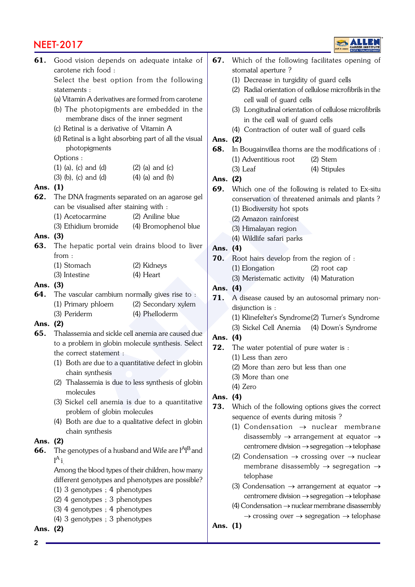## NEET-2017

|          |                                                                           |          | GAREER INSTITUTE                                                      |  |
|----------|---------------------------------------------------------------------------|----------|-----------------------------------------------------------------------|--|
| 61.      | Good vision depends on adequate intake of<br>carotene rich food:          | 67.      | Which of the following facilitates opening of<br>stomatal aperture?   |  |
|          | Select the best option from the following                                 |          | (1) Decrease in turgidity of guard cells                              |  |
|          | statements:                                                               |          | (2) Radial orientation of cellulose microfibrils in the               |  |
|          | (a) Vitamin A derivatives are formed from carotene                        |          | cell wall of guard cells                                              |  |
|          | (b) The photopigments are embedded in the                                 |          | (3) Longitudinal orientation of cellulose microfibrils                |  |
|          | membrane discs of the inner segment                                       |          | in the cell wall of guard cells                                       |  |
|          | (c) Retinal is a derivative of Vitamin A                                  |          | (4) Contraction of outer wall of guard cells                          |  |
|          | (d) Retinal is a light absorbing part of all the visual                   | Ans.     | (2)                                                                   |  |
|          | photopigments                                                             | 68.      | In Bougainvillea thorns are the modifications of :                    |  |
|          | Options:                                                                  |          | (1) Adventitious root<br>$(2)$ Stem                                   |  |
|          | $(1)$ (a), (c) and (d)<br>$(2)$ (a) and (c)                               |          | $(3)$ Leaf<br>(4) Stipules                                            |  |
|          | $(3)$ (b), (c) and (d)<br>$(4)$ (a) and (b)                               |          |                                                                       |  |
| Ans. (1) |                                                                           | Ans. (2) |                                                                       |  |
| 62.      | The DNA fragments separated on an agarose gel                             | 69.      | Which one of the following is related to Ex-situ                      |  |
|          | can be visualised after staining with :                                   |          | conservation of threatened animals and plants?                        |  |
|          |                                                                           |          | (1) Biodiversity hot spots                                            |  |
|          | (1) Acetocarmine<br>(2) Aniline blue                                      |          | (2) Amazon rainforest                                                 |  |
|          | (3) Ethidium bromide<br>(4) Bromophenol blue                              |          | (3) Himalayan region                                                  |  |
| Ans.     | (3)                                                                       |          | (4) Wildlife safari parks                                             |  |
| 63.      | The hepatic portal vein drains blood to liver                             | Ans.     | (4)                                                                   |  |
|          | from:                                                                     | 70.      | Root hairs develop from the region of :                               |  |
|          | (1) Stomach<br>(2) Kidneys                                                |          | (1) Elongation<br>$(2)$ root cap                                      |  |
|          | (4) Heart<br>(3) Intestine                                                |          | (3) Meristematic activity (4) Maturation                              |  |
| Ans. (3) |                                                                           | Ans. (4) |                                                                       |  |
| 64.      | The vascular cambium normally gives rise to :                             | 71.      | A disease caused by an autosomal primary non-                         |  |
|          | (1) Primary phloem<br>(2) Secondary xylem                                 |          | disjunction is :                                                      |  |
|          | (3) Periderm<br>(4) Phelloderm                                            |          | (1) Klinefelter's Syndrome(2) Turner's Syndrome                       |  |
| Ans.     | (2)                                                                       |          | (3) Sickel Cell Anemia (4) Down's Syndrome                            |  |
| 65.      | Thalassemia and sickle cell anemia are caused due                         | Ans.     | (4)                                                                   |  |
|          | to a problem in globin molecule synthesis. Select                         | 72.      | The water potential of pure water is :                                |  |
|          | the correct statement :                                                   |          | $(1)$ Less than zero                                                  |  |
|          | (1) Both are due to a quantitative defect in globin                       |          | (2) More than zero but less than one                                  |  |
|          | chain synthesis                                                           |          |                                                                       |  |
|          | (2) Thalassemia is due to less synthesis of globin                        |          | (3) More than one                                                     |  |
|          | molecules                                                                 |          | $(4)$ Zero                                                            |  |
|          | (3) Sickel cell anemia is due to a quantitative                           | Ans. (4) |                                                                       |  |
|          | problem of globin molecules                                               | 73.      | Which of the following options gives the correct                      |  |
|          | (4) Both are due to a qualitative defect in globin                        |          | sequence of events during mitosis?                                    |  |
|          | chain synthesis                                                           |          | (1) Condensation $\rightarrow$ nuclear membrane                       |  |
| Ans.     | (2)                                                                       |          | disassembly $\rightarrow$ arrangement at equator $\rightarrow$        |  |
| 66.      | The genotypes of a husband and Wife are I <sup>A</sup> I <sup>B</sup> and |          | centromere division $\rightarrow$ segregation $\rightarrow$ telophase |  |
|          | $I^A$ i                                                                   |          | (2) Condensation $\rightarrow$ crossing over $\rightarrow$ nuclear    |  |
|          | Among the blood types of their children, how many                         |          | membrane disassembly $\rightarrow$ segregation $\rightarrow$          |  |
|          |                                                                           |          | telophase                                                             |  |
|          | different genotypes and phenotypes are possible?                          |          | (3) Condensation $\rightarrow$ arrangement at equator $\rightarrow$   |  |
|          | $(1)$ 3 genotypes; 4 phenotypes                                           |          | centromere division → segregation → telophase                         |  |
|          | (2) 4 genotypes; 3 phenotypes                                             |          |                                                                       |  |

- (4) Condensation  $\rightarrow$  nuclear membrane disassembly  $\rightarrow$  crossing over  $\rightarrow$  segregation  $\rightarrow$  telophase
- Ans. (1)

Ans. (2)

(3) 4 genotypes ; 4 phenotypes (4) 3 genotypes ; 3 phenotypes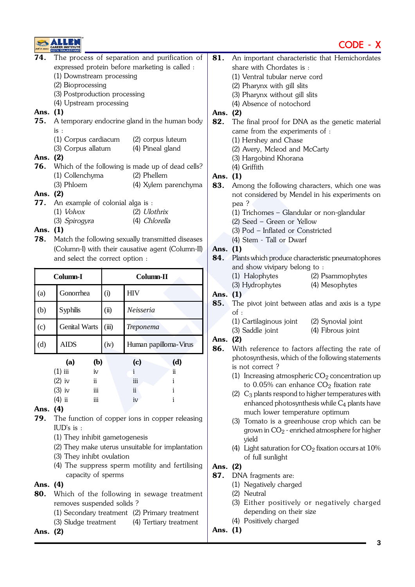



| 74.      |                                                |       | The process of separation and purification of     | 81.      |                                             | An important characteristic that Hemichordates            |  |
|----------|------------------------------------------------|-------|---------------------------------------------------|----------|---------------------------------------------|-----------------------------------------------------------|--|
|          | expressed protein before marketing is called : |       |                                                   |          | share with Chordates is :                   |                                                           |  |
|          | (1) Downstream processing                      |       |                                                   |          | (1) Ventral tubular nerve cord              |                                                           |  |
|          | (2) Bioprocessing                              |       |                                                   |          | (2) Pharynx with gill slits                 |                                                           |  |
|          | (3) Postproduction processing                  |       |                                                   |          | (3) Pharynx without gill slits              |                                                           |  |
|          | (4) Upstream processing                        |       |                                                   |          | (4) Absence of notochord                    |                                                           |  |
| Ans. (1) |                                                |       |                                                   | Ans. (2) |                                             |                                                           |  |
| 75.      |                                                |       | A temporary endocrine gland in the human body     | 82.      |                                             | The final proof for DNA as the genetic material           |  |
|          | is:                                            |       |                                                   |          | came from the experiments of :              |                                                           |  |
|          | (1) Corpus cardiacum                           |       | (2) corpus luteum                                 |          | (1) Hershey and Chase                       |                                                           |  |
|          | (3) Corpus allatum                             |       | (4) Pineal gland                                  |          | (2) Avery, Mcleod and McCarty               |                                                           |  |
| Ans.     | (2)                                            |       |                                                   |          | (3) Hargobind Khorana                       |                                                           |  |
| 76.      |                                                |       | Which of the following is made up of dead cells?  |          | (4) Griffith                                |                                                           |  |
|          | (1) Collenchyma                                |       | (2) Phellem                                       | Ans. (1) |                                             |                                                           |  |
|          | (3) Phloem                                     |       | (4) Xylem parenchyma                              | 83.      |                                             | Among the following characters, which one was             |  |
| Ans. (2) |                                                |       |                                                   |          |                                             | not considered by Mendel in his experiments on            |  |
| 77.      | An example of colonial alga is :               |       |                                                   |          | pea?                                        |                                                           |  |
|          | $(1)$ <i>Volvox</i>                            |       | $(2)$ <i>Ulothrix</i>                             |          | (1) Trichomes - Glandular or non-glandular  |                                                           |  |
|          | (3) Spirogyra                                  |       | (4) Chlorella                                     |          | (2) Seed - Green or Yellow                  |                                                           |  |
| Ans. (1) |                                                |       |                                                   |          | (3) Pod - Inflated or Constricted           |                                                           |  |
| 78.      |                                                |       | Match the following sexually transmitted diseases |          | (4) Stem - Tall or Dwarf                    |                                                           |  |
|          |                                                |       | (Column-I) with their causative agent (Column-II) | Ans. (1) |                                             |                                                           |  |
|          | and select the correct option :                |       |                                                   | 84.      |                                             | Plants which produce characteristic pneumatophores        |  |
|          |                                                |       |                                                   |          | and show vivipary belong to:                |                                                           |  |
|          | Column-I                                       |       | Column-II                                         |          | (1) Halophytes                              | (2) Psammophytes                                          |  |
|          |                                                |       |                                                   |          | (3) Hydrophytes                             | (4) Mesophytes                                            |  |
| (a)      | Gonorrhea                                      | (i)   | <b>HIV</b>                                        | Ans. (1) |                                             |                                                           |  |
| (b)      | <b>Syphilis</b>                                | (ii)  | Neisseria                                         | 85.      |                                             | The pivot joint between atlas and axis is a type          |  |
|          |                                                |       |                                                   |          | of:                                         |                                                           |  |
| (c)      | <b>Genital Warts</b>                           | (iii) | Treponema                                         |          | (1) Cartilaginous joint<br>(3) Saddle joint | (2) Synovial joint<br>(4) Fibrous joint                   |  |
| (d)      | <b>AIDS</b>                                    | (iv)  | Human papilloma-Virus                             | Ans. (2) |                                             |                                                           |  |
|          |                                                |       |                                                   | 86.      |                                             | With reference to factors affecting the rate of           |  |
|          | (b)<br>(a)                                     |       | (d)<br>(c)                                        |          |                                             | photosynthesis, which of the following statements         |  |
|          | $(1)$ iii<br>iv                                |       | $\rm ii$<br>i                                     |          | is not correct?                             |                                                           |  |
|          | $(2)$ iv<br>ii                                 |       | i<br>iii                                          |          |                                             | (1) Increasing atmospheric $CO2$ concentration up         |  |
|          | $(3)$ iv<br>iii                                |       | ii<br>i                                           |          |                                             | to $0.05\%$ can enhance $CO2$ fixation rate               |  |
|          | $(4)$ ii<br>iii                                |       | i<br>iv                                           |          |                                             | (2) $C_3$ plants respond to higher temperatures with      |  |
| Ans.     | (4)                                            |       |                                                   |          |                                             | enhanced photosynthesis while $C_4$ plants have           |  |
| 79.      |                                                |       | The function of copper ions in copper releasing   |          | much lower temperature optimum              |                                                           |  |
|          | IUD's is :                                     |       |                                                   |          |                                             | (3) Tomato is a greenhouse crop which can be              |  |
|          | (1) They inhibit gametogenesis                 |       |                                                   |          |                                             | grown in $CO2$ - enriched atmosphere for higher           |  |
|          |                                                |       | (2) They make uterus unsuitable for implantation  |          | yield                                       | (4) Light saturation for $CO_2$ fixation occurs at $10\%$ |  |
|          | (3) They inhibt ovulation                      |       |                                                   |          |                                             |                                                           |  |
|          |                                                |       | (4) The suppress sperm motility and fertilising   | Ans. (2) | of full sunlight                            |                                                           |  |
|          | capacity of sperms                             |       |                                                   | 87.      | DNA fragments are:                          |                                                           |  |
| Ans. (4) |                                                |       |                                                   |          | (1) Negatively charged                      |                                                           |  |
| 80.      |                                                |       | Which of the following in sewage treatment        |          | (2) Neutral                                 |                                                           |  |
|          | removes suspended solids?                      |       |                                                   |          |                                             | (3) Either positively or negatively charged               |  |
|          |                                                |       | (1) Secondary treatment (2) Primary treatment     |          | depending on their size                     |                                                           |  |
|          | (3) Sludge treatment                           |       | (4) Tertiary treatment                            |          | (4) Positively charged                      |                                                           |  |
| Ans. (2) |                                                |       |                                                   | Ans. (1) |                                             |                                                           |  |
|          |                                                |       |                                                   |          |                                             |                                                           |  |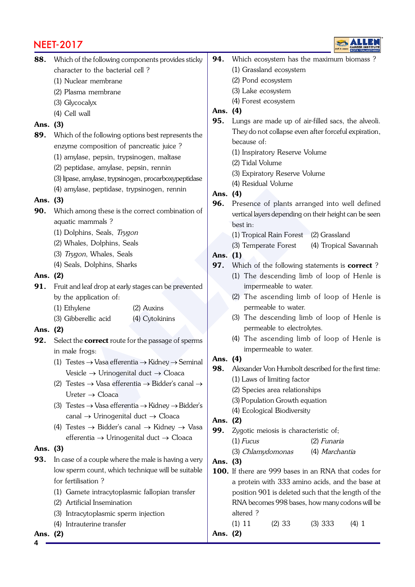### NEET-2017



| 88. Which of the following components provides sticky |
|-------------------------------------------------------|
| character to the bacterial cell?                      |

- (1) Nuclear membrane
- (2) Plasma membrane
- (3) Glycocalyx
- (4) Cell wall

#### Ans. (3)

- 89. Which of the following options best represents the enzyme composition of pancreatic juice ?
	- (1) amylase, pepsin, trypsinogen, maltase
	- (2) peptidase, amylase, pepsin, rennin
	- (3) lipase, amylase, trypsinogen, procarboxypeptidase
	- (4) amylase, peptidase, trypsinogen, rennin

#### Ans. (3)

- **90.** Which among these is the correct combination of aquatic mammals ?
	- (1) Dolphins, Seals, Trygon
	- (2) Whales, Dolphins, Seals
	- (3) Trygon, Whales, Seals
	- (4) Seals, Dolphins, Sharks

#### Ans. (2)

- **91.** Fruit and leaf drop at early stages can be prevented by the application of:
	- (1) Ethylene (2) Auxins
	- (3) Gibberellic acid (4) Cytokinins

#### Ans. (2)

- 92. Select the **correct** route for the passage of sperms in male frogs:
	- (1) Testes  $\rightarrow$  Vasa efferentia  $\rightarrow$  Kidney  $\rightarrow$  Seminal Vesicle  $\rightarrow$  Urinogenital duct  $\rightarrow$  Cloaca
	- (2) Testes  $\rightarrow$  Vasa efferentia  $\rightarrow$  Bidder's canal  $\rightarrow$  $U$ reter  $\rightarrow$  Cloaca
	- (3) Testes  $\rightarrow$  Vasa efferentia  $\rightarrow$  Kidney  $\rightarrow$  Bidder's canal  $\rightarrow$  Urinogenital duct  $\rightarrow$  Cloaca
	- (4) Testes  $\rightarrow$  Bidder's canal  $\rightarrow$  Kidney  $\rightarrow$  Vasa efferentia → Urinogenital duct → Cloaca

#### Ans. (3)

- **93.** In case of a couple where the male is having a very low sperm count, which technique will be suitable for fertilisation ?
	- (1) Gamete intracytoplasmic fallopian transfer
	- (2) Artificial Insemination
	- (3) Intracytoplasmic sperm injection
	- (4) Intrauterine transfer

**4** Ans. (2)

- 94. Which ecosystem has the maximum biomass?
	- (1) Grassland ecosystem
	- (2) Pond ecosystem
	- (3) Lake ecosystem
	- (4) Forest ecosystem

#### Ans. (4)

- 95. Lungs are made up of air-filled sacs, the alveoli. They do not collapse even after forceful expiration, because of:
	- (1) Inspiratory Reserve Volume
	- (2) Tidal Volume
	- (3) Expiratory Reserve Volume
	- (4) Residual Volume

#### Ans. (4)

- lase, peptidase, trypsinogen, remini<br>
many these is the correct combination of<br>
many these is the correct combination of<br>
thins, Seals<br>
(3) Temperate Forest (4) Trapical Rain Forest (2) Ghens, Seals<br>
(3) Temperate Forest 96. Presence of plants arranged into well defined vertical layers depending on their height can be seen best in:
	- (1) Tropical Rain Forest (2) Grassland
	- (3) Temperate Forest (4) Tropical Savannah

### Ans. (1)

- 97. Which of the following statements is correct?
	- (1) The descending limb of loop of Henle is impermeable to water.
	- (2) The ascending limb of loop of Henle is permeable to water.
	- (3) The descending limb of loop of Henle is permeable to electrolytes.
	- (4) The ascending limb of loop of Henle is impermeable to water.

#### Ans. (4)

- 98. Alexander Von Humbolt described for the first time:
	- (1) Laws of limiting factor
	- (2) Species area relationships
	- (3) Population Growth equation
	- (4) Ecological Biodiversity

#### Ans. (2)

- 99. Zygotic meiosis is characteristic of;
	- (1) Fucus (2) Funaria
	- (3) Chlamydomonas (4) Marchantia

#### Ans. (3)

100. If there are 999 bases in an RNA that codes for a protein with 333 amino acids, and the base at position 901 is deleted such that the length of the RNA becomes 998 bases, how many codons will be altered ?  $(1)$  11  $(2)$  33  $(3)$  333  $(4)$  1

Ans. (2)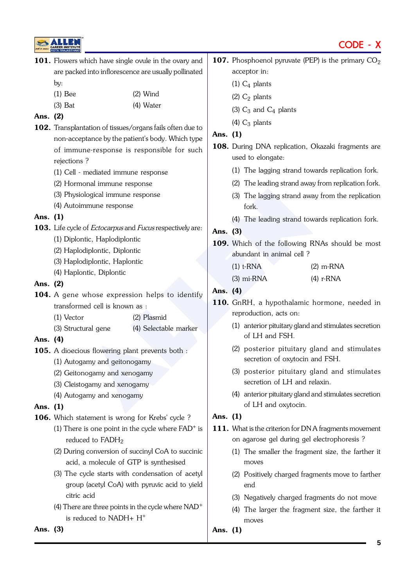

Ans. (3)

|          |                                                                              |                                            | CODE - X                                                    |  |
|----------|------------------------------------------------------------------------------|--------------------------------------------|-------------------------------------------------------------|--|
|          |                                                                              |                                            | <b>107.</b> Phosphoenol pyruvate (PEP) is the primary $CO2$ |  |
|          | acceptor in:                                                                 |                                            |                                                             |  |
|          | $(1)$ $C_4$ plants                                                           |                                            |                                                             |  |
|          |                                                                              | $(2)$ C <sub>2</sub> plants                |                                                             |  |
|          |                                                                              | (3) $C_3$ and $C_4$ plants                 |                                                             |  |
|          |                                                                              | (4) $C_3$ plants                           |                                                             |  |
| Ans. (1) |                                                                              |                                            |                                                             |  |
|          | 108. During DNA replication, Okazaki fragments are<br>used to elongate:      |                                            |                                                             |  |
|          |                                                                              |                                            | (1) The lagging strand towards replication fork.            |  |
|          |                                                                              |                                            | (2) The leading strand away from replication fork.          |  |
|          |                                                                              | fork.                                      | (3) The lagging strand away from the replication            |  |
|          |                                                                              |                                            | (4) The leading strand towards replication fork.            |  |
| Ans. (3) |                                                                              |                                            |                                                             |  |
|          |                                                                              |                                            | 109. Which of the following RNAs should be most             |  |
|          |                                                                              | abundant in animal cell ?                  |                                                             |  |
|          |                                                                              | $(1)$ t-RNA                                | $(2)$ m-RNA                                                 |  |
|          |                                                                              | $(3)$ mi-RNA                               | $(4)$ r-RNA                                                 |  |
| Ans. (4) |                                                                              |                                            |                                                             |  |
|          |                                                                              | reproduction, acts on:                     | 110. GnRH, a hypothalamic hormone, needed in                |  |
|          |                                                                              | of LH and FSH.                             | (1) anterior pituitary gland and stimulates secretion       |  |
|          |                                                                              | secretion of oxytocin and FSH.             | (2) posterior pituitary gland and stimulates                |  |
|          | (3) posterior pituitary gland and stimulates<br>secretion of LH and relaxin. |                                            |                                                             |  |
|          |                                                                              | of LH and oxytocin.                        | (4) anterior pituitary gland and stimulates secretion       |  |
| Ans. (1) |                                                                              |                                            |                                                             |  |
|          | 111. What is the criterion for DNA fragments movement                        |                                            |                                                             |  |
|          |                                                                              | on agarose gel during gel electrophoresis? |                                                             |  |
|          |                                                                              | moves                                      | (1) The smaller the fragment size, the farther it           |  |
|          |                                                                              | end                                        | (2) Positively charged fragments move to farther            |  |
|          |                                                                              |                                            | (3) Negatively charged fragments do not move                |  |

(4) The larger the fragment size, the farther it moves

Ans. (1)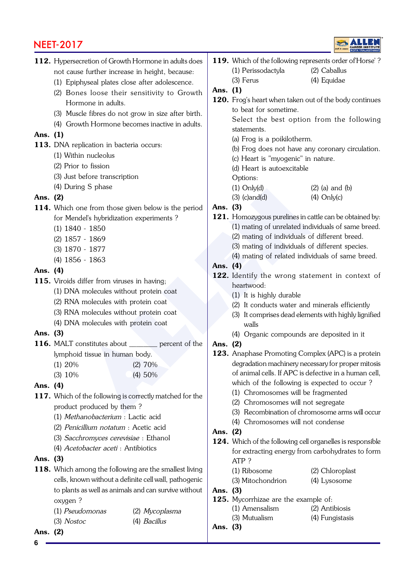# <u>NEET-2017</u>



|            | <b>NEEI-2017</b>                                              |                |          |                                                                          |           |
|------------|---------------------------------------------------------------|----------------|----------|--------------------------------------------------------------------------|-----------|
|            | 112. Hypersecretion of Growth Hormone in adults does          |                |          | 119. Which of the following represent                                    |           |
|            | not cause further increase in height, because:                |                |          | (1) Perissodactyla                                                       | $(2)$ C   |
|            | (1) Epiphyseal plates close after adolescence.                |                |          | (3) Ferus                                                                | $(4)$ Eq  |
|            | (2) Bones loose their sensitivity to Growth                   |                | Ans. (1) |                                                                          |           |
|            | Hormone in adults.                                            |                |          | 120. Frog's heart when taken out of tl                                   |           |
|            | (3) Muscle fibres do not grow in size after birth.            |                |          | to beat for sometime.                                                    |           |
|            | (4) Growth Hormone becomes inactive in adults.                |                |          | Select the best option fror                                              |           |
| Ans. (1)   |                                                               |                |          | statements.                                                              |           |
|            | 113. DNA replication in bacteria occurs:                      |                |          | (a) Frog is a poikilotherm.                                              |           |
|            | (1) Within nucleolus                                          |                |          | (b) Frog does not have any cor                                           |           |
|            | (2) Prior to fission                                          |                |          | (c) Heart is "myogenic" in natur                                         |           |
|            | (3) Just before transcription                                 |                |          | (d) Heart is autoexcitable                                               |           |
|            |                                                               |                |          | Options:                                                                 |           |
|            | (4) During S phase                                            |                |          | $(1)$ Only $(d)$                                                         | $(2)$ (a) |
| Ans. (2)   |                                                               |                |          | $(3)$ (c) and $(d)$                                                      | $(4)$ O   |
|            | 114. Which one from those given below is the period           |                | Ans. (3) |                                                                          |           |
|            | for Mendel's hybridization experiments?                       |                |          | 121. Homozygous purelines in cattle c                                    |           |
|            | $(1)$ 1840 - 1850                                             |                |          | (1) mating of unrelated individua<br>$(2)$ mating of individuals of diff |           |
|            | $(2)$ 1857 - 1869                                             |                |          | (3) mating of individuals of diff                                        |           |
|            | (3) 1870 - 1877                                               |                |          | (4) mating of related individuals                                        |           |
|            | $(4)$ 1856 - 1863                                             |                | Ans. (4) |                                                                          |           |
| Ans. (4)   |                                                               |                |          | 122. Identify the wrong statemer                                         |           |
|            | 115. Viroids differ from viruses in having;                   |                |          | heartwood:                                                               |           |
|            | (1) DNA molecules without protein coat                        |                |          | (1) It is highly durable                                                 |           |
|            | (2) RNA molecules with protein coat                           |                |          | (2) It conducts water and mine                                           |           |
|            | (3) RNA molecules without protein coat                        |                |          | (3) It comprises dead elements w                                         |           |
|            | (4) DNA molecules with protein coat                           |                |          | walls                                                                    |           |
| Ans. $(3)$ |                                                               |                |          | (4) Organic compounds are de                                             |           |
|            | <b>116.</b> MALT constitutes about <u>each</u> percent of the |                | Ans. (2) |                                                                          |           |
|            | lymphoid tissue in human body.                                |                |          | 123. Anaphase Promoting Complex                                          |           |
|            | (1) 20%                                                       | (2) 70%        |          | degradation machinery necessary                                          |           |
|            | (3) 10%                                                       | (4) 50%        |          | of animal cells. If APC is defectiv                                      |           |
| Ans. (4)   |                                                               |                |          | which of the following is exped                                          |           |
|            | 117. Which of the following is correctly matched for the      |                |          | (1) Chromosomes will be fragn                                            |           |
|            | product produced by them?                                     |                |          | (2) Chromosomes will not segre<br>(3) Recombination of chromoso          |           |
|            | (1) Methanobacterium : Lactic acid                            |                |          | (4) Chromosomes will not cone                                            |           |
|            | (2) Penicillium notatum : Acetic acid                         |                | Ans. (2) |                                                                          |           |
|            | (3) Sacchromyces cerevisiae : Ethanol                         |                |          | 124. Which of the following cell organ                                   |           |
|            | (4) Acetobacter aceti : Antibiotics                           |                |          | for extracting energy from carbe                                         |           |
| Ans. (3)   |                                                               |                |          | ATP?                                                                     |           |
|            | <b>118.</b> Which among the following are the smallest living |                |          | (1) Ribosome                                                             | $(2)$ C   |
|            | cells, known without a definite cell wall, pathogenic         |                |          | (3) Mitochondrion                                                        | (4) Ly    |
|            | to plants as well as animals and can survive without          |                | Ans. (3) |                                                                          |           |
|            | oxygen?                                                       |                |          | 125. Mycorrhizae are the example of                                      |           |
|            | (1) Pseudomonas                                               | (2) Mycoplasma |          | (1) Amensalism                                                           | $(2)$ Ar  |
|            | $(3)$ Nostoc                                                  | (4) Bacillus   |          | (3) Mutualism                                                            | $(4)$ Fu  |
| Ans.       | (2)                                                           |                | Ans. (3) |                                                                          |           |
|            |                                                               |                |          |                                                                          |           |

|                    | 119. Which of the following represents order of Horse'? |
|--------------------|---------------------------------------------------------|
| (1) Perissodactyla | (2) Caballus                                            |

(3) Ferus (4) Equidae

#### $(1)$

Frog's heart when taken out of the body continues to beat for sometime. Select the best option from the following

statements.

- (a) Frog is a poikilotherm.
- (b) Frog does not have any coronary circulation.
- (c) Heart is "myogenic" in nature.
- (d) Heart is autoexcitable

#### Options:

- (1)  $Only(d)$  (2) (a) and (b)
- $(3)$  (c)and(d)  $(4)$  Only(c)

#### $(3)$

- Homozygous purelines in cattle can be obtained by: (1) mating of unrelated individuals of same breed.
	- (2) mating of individuals of different breed.
	- (3) mating of individuals of different species.
	- (4) mating of related individuals of same breed.

#### $(4)$

- Identify the wrong statement in context of heartwood:
	- (1) It is highly durable
	- (2) It conducts water and minerals efficiently
	- (3) It comprises dead elements with highly lignified walls
	- (4) Organic compounds are deposited in it

#### $(2)$

- Anaphase Promoting Complex (APC) is a protein degradation machinery necessary for proper mitosis of animal cells. If APC is defective in a human cell, which of the following is expected to occur ?
	- (1) Chromosomes will be fragmented
	- (2) Chromosomes will not segregate
	- (3) Recombination of chromosome arms will occur
	- (4) Chromosomes will not condense

#### $(2)$

- Which of the following cell organelles is responsible for extracting energy from carbohydrates to form ATP ?
	- (1) Ribosome (2) Chloroplast
		-
	-
- (3) Mitochondrion (4) Lysosome
- $(3)$
- Mycorrhizae are the example of: (1) Amensalism (2) Antibiosis
	- (3) Mutualism (4) Fungistasis
- $(3)$

**6**